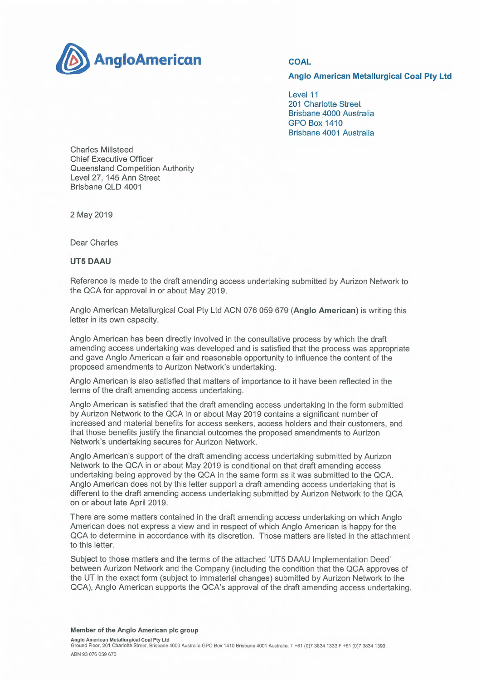

## **Anglo American Metallurgical Coal Pty Ltd**

Level 11 201 Charlotte Street Brisbane 4000 Australia GPO Box 1410 Brisbane 4001 Australia

Charles Mil!steed Chief Executive Officer Queensland Competition Authority Level 27, 145 Ann Street Brisbane QLD 4001

2 May 2019

Dear Charles

**UT5 DAAU** 

Reference is made to the draft amending access undertaking submitted by Aurizon Network to the QCA for approval in or about May 2019.

Anglo American Metallurgical Coal Pty Ltd ACN 076 059 679 **(Anglo American)** is writing this letter in its own capacity.

Anglo American has been directly involved in the consultative process by which the draft amending access undertaking was developed and is satisfied that the process was appropriate and gave Anglo American a fair and reasonable opportunity to influence the content of the proposed amendments to Aurizon Network's undertaking.

Anglo American is also satisfied that matters of importance to it have been reflected in the terms of the draft amending access undertaking.

Anglo American is satisfied that the draft amending access undertaking in the form submitted by Aurizon Network to the QCA in or about May 2019 contains a significant number of increased and material benefits for access seekers, access holders and their customers, and that those benefits justify the financial outcomes the proposed amendments to Aurizon Network's undertaking secures for Aurizon Network.

Anglo American's support of the draft amending access undertaking submitted by Aurizon Network to the QCA in or about May 2019 is conditional on that draft amending access undertaking being approved by the QCA in the same form as it was submitted to the QCA. Anglo American does not by this letter support a draft amending access undertaking that is different to the draft amending access undertaking submitted by Aurizon Network to the QCA on or about late April 2019.

There are some matters contained in the draft amending access undertaking on which Anglo American does not express a view and in respect of which Anglo American is happy for the QCA to determine in accordance with its discretion. Those matters are listed in the attachment to this letter.

Subject to those matters and the terms of the attached 'UT5 DAAU Implementation Deed' between Aurizon Network and the Company (including the condition that the QCA approves of the UT in the exact form (subject to immaterial changes) submitted by Aurizon Network to the QCA), Anglo American supports the QCA's approval of the draft amending access undertaking.

## **Member of the Anglo American plc group**

**Anglo American Metallurgical Coal Pty Ltd**  Ground Floor, 201 Charlotte Street, Brisbane 4000 Australia GPO Box 1410 Brisbane 4001 Australia. T +61 (0)7 3834 1333 F +61 (0)7 3834 1390. ABN 93 076 059 670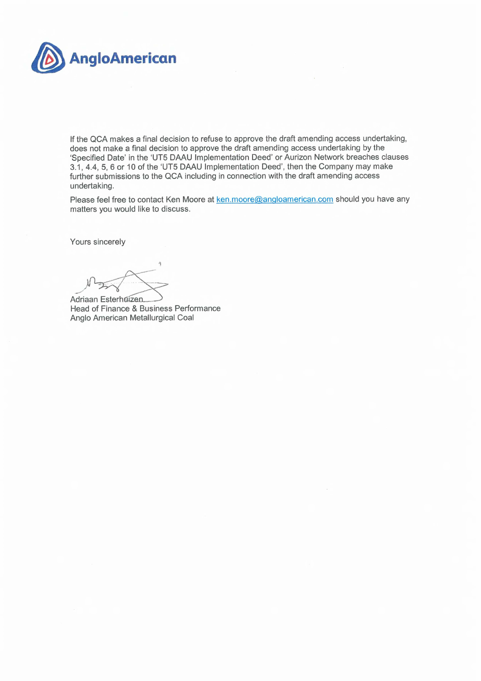

If the QCA makes a final decision to refuse to approve the draft amending access undertaking, does not make a final decision to approve the draft amending access undertaking by the 'Specified Date' in the `UT5 DAAU Implementation Deed' or Aurizon Network breaches clauses 3.1, 4.4, 5, 6 or 10 of the 'UT5 DAAU Implementation Deed', then the Company may make further submissions to the QCA including in connection with the draft amending access undertaking.

Please feel free to contact Ken Moore at ken.moore@angloamerican.com should you have any matters you would like to discuss.

Yours sincerely

Adriaan Esterhuizen Head of Finance & Business Performance Anglo American Metallurgical Coal